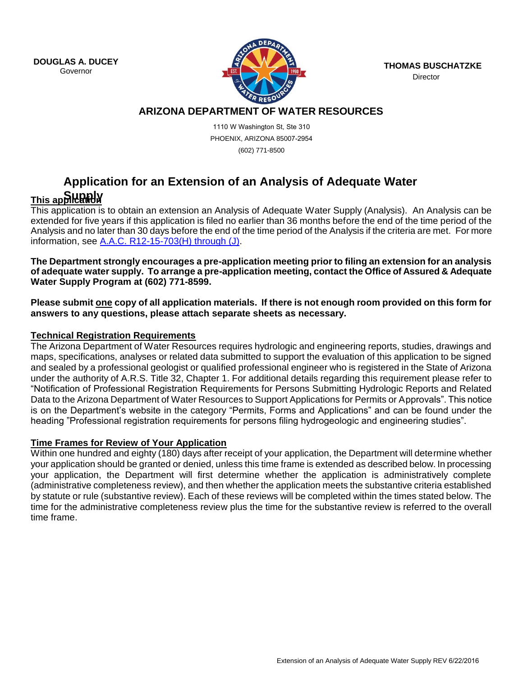**DOUGLAS A. DUCEY**



LAS A. DUCET **TRANSISTS OF A TRANSIST OF A TRANSIST OF A TRANSIST OF A THOMAS BUSCHATZKE Director** 

## **ARIZONA DEPARTMENT OF WATER RESOURCES**

1110 W Washington St, Ste 310 PHOENIX, ARIZONA 85007-2954 (602) 771-8500

# **Application for an Extension of an Analysis of Adequate Water**

# **This application Supply**

This application is to obtain an extension an Analysis of Adequate Water Supply (Analysis). An Analysis can be extended for five years if this application is filed no earlier than 36 months before the end of the time period of the Analysis and no later than 30 days before the end of the time period of the Analysis if the criteria are met. For more information, see [A.A.C. R12-15-703\(H\) through \(J\).](http://www.azsos.gov/public_services/Title_12/12-15.htm)

**The Department strongly encourages a pre-application meeting prior to filing an extension for an analysis of adequate water supply. To arrange a pre-application meeting, contact the Office of Assured & Adequate Water Supply Program at (602) 771-8599.**

**Please submit one copy of all application materials. If there is not enough room provided on this form for answers to any questions, please attach separate sheets as necessary.** 

### **Technical Registration Requirements**

The Arizona Department of Water Resources requires hydrologic and engineering reports, studies, drawings and maps, specifications, analyses or related data submitted to support the evaluation of this application to be signed and sealed by a professional geologist or qualified professional engineer who is registered in the State of Arizona under the authority of A.R.S. Title 32, Chapter 1. For additional details regarding this requirement please refer to "Notification of Professional Registration Requirements for Persons Submitting Hydrologic Reports and Related Data to the Arizona Department of Water Resources to Support Applications for Permits or Approvals". This notice is on the Department's website in the category "Permits, Forms and Applications" and can be found under the heading "Professional registration requirements for persons filing hydrogeologic and engineering studies".

#### **Time Frames for Review of Your Application**

Within one hundred and eighty (180) days after receipt of your application, the Department will determine whether your application should be granted or denied, unless this time frame is extended as described below. In processing your application, the Department will first determine whether the application is administratively complete (administrative completeness review), and then whether the application meets the substantive criteria established by statute or rule (substantive review). Each of these reviews will be completed within the times stated below. The time for the administrative completeness review plus the time for the substantive review is referred to the overall time frame.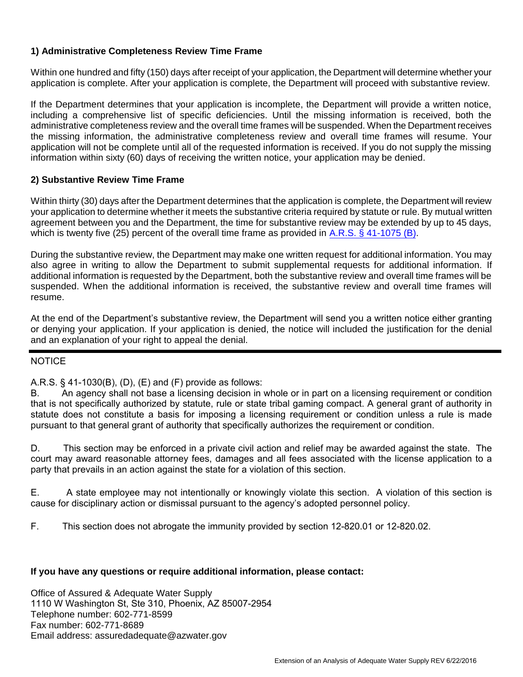#### **1) Administrative Completeness Review Time Frame**

Within one hundred and fifty (150) days after receipt of your application, the Department will determine whether your application is complete. After your application is complete, the Department will proceed with substantive review.

If the Department determines that your application is incomplete, the Department will provide a written notice, including a comprehensive list of specific deficiencies. Until the missing information is received, both the administrative completeness review and the overall time frames will be suspended. When the Department receives the missing information, the administrative completeness review and overall time frames will resume. Your application will not be complete until all of the requested information is received. If you do not supply the missing information within sixty (60) days of receiving the written notice, your application may be denied.

#### **2) Substantive Review Time Frame**

Within thirty (30) days after the Department determines that the application is complete, the Department will review your application to determine whether it meets the substantive criteria required by statute or rule. By mutual written agreement between you and the Department, the time for substantive review may be extended by up to 45 days, which is twenty five (25) percent of the overall time frame as provided i[n A.R.S. § 41-1075 \(B\).](http://www.azleg.gov/ArizonaRevisedStatutes.asp?Title=41)

During the substantive review, the Department may make one written request for additional information. You may also agree in writing to allow the Department to submit supplemental requests for additional information. If additional information is requested by the Department, both the substantive review and overall time frames will be suspended. When the additional information is received, the substantive review and overall time frames will resume.

At the end of the Department's substantive review, the Department will send you a written notice either granting or denying your application. If your application is denied, the notice will included the justification for the denial and an explanation of your right to appeal the denial.

#### **NOTICE**

#### A.R.S. § 41-1030(B), (D), (E) and (F) provide as follows:

B. An agency shall not base a licensing decision in whole or in part on a licensing requirement or condition that is not specifically authorized by statute, rule or state tribal gaming compact. A general grant of authority in statute does not constitute a basis for imposing a licensing requirement or condition unless a rule is made pursuant to that general grant of authority that specifically authorizes the requirement or condition.

D. This section may be enforced in a private civil action and relief may be awarded against the state. The court may award reasonable attorney fees, damages and all fees associated with the license application to a party that prevails in an action against the state for a violation of this section.

E. A state employee may not intentionally or knowingly violate this section. A violation of this section is cause for disciplinary action or dismissal pursuant to the agency's adopted personnel policy.

F. This section does not abrogate the immunity provided by section 12-820.01 or 12-820.02.

#### **If you have any questions or require additional information, please contact:**

Office of Assured & Adequate Water Supply 1110 W Washington St, Ste 310, Phoenix, AZ 85007-2954 Telephone number: 602-771-8599 Fax number: 602-771-8689 Email address: assuredadequate@azwater.gov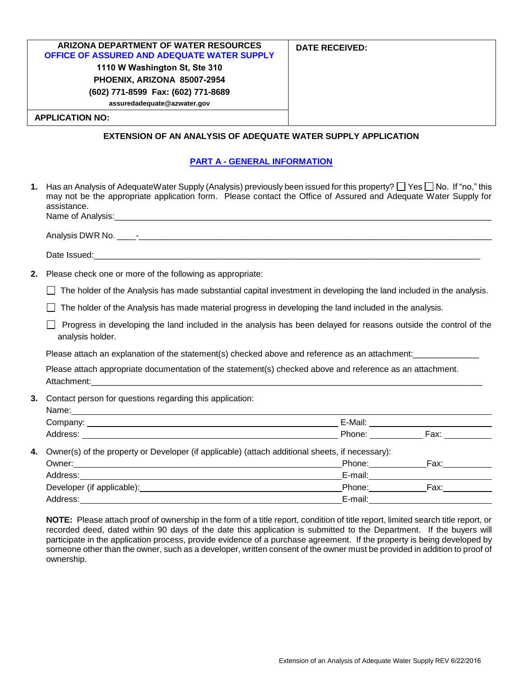| ARIZONA DEPARTMENT OF WATER RESOURCES              | <b>DATE RECEIVED:</b> |
|----------------------------------------------------|-----------------------|
| <b>OFFICE OF ASSURED AND ADEQUATE WATER SUPPLY</b> |                       |
| 1110 W Washington St, Ste 310                      |                       |
| PHOENIX, ARIZONA 85007-2954                        |                       |
| (602) 771-8599 Fax: (602) 771-8689                 |                       |
| assuredadequate@azwater.gov                        |                       |
| <b>APPLICATION NO:</b>                             |                       |

#### **EXTENSION OF AN ANALYSIS OF ADEQUATE WATER SUPPLY APPLICATION**

#### **PART A - GENERAL INFORMATION**

| 1. | Has an Analysis of AdequateWater Supply (Analysis) previously been issued for this property? [Nesell No. If "no," this<br>may not be the appropriate application form. Please contact the Office of Assured and Adequate Water Supply for<br>assistance. |  |                  |  |
|----|----------------------------------------------------------------------------------------------------------------------------------------------------------------------------------------------------------------------------------------------------------|--|------------------|--|
|    |                                                                                                                                                                                                                                                          |  |                  |  |
|    |                                                                                                                                                                                                                                                          |  |                  |  |
|    |                                                                                                                                                                                                                                                          |  |                  |  |
| 2. | Please check one or more of the following as appropriate:                                                                                                                                                                                                |  |                  |  |
|    | The holder of the Analysis has made substantial capital investment in developing the land included in the analysis.                                                                                                                                      |  |                  |  |
|    | The holder of the Analysis has made material progress in developing the land included in the analysis.                                                                                                                                                   |  |                  |  |
|    | Progress in developing the land included in the analysis has been delayed for reasons outside the control of the<br>analysis holder.                                                                                                                     |  |                  |  |
|    | Please attach an explanation of the statement(s) checked above and reference as an attachment:<br>                                                                                                                                                       |  |                  |  |
|    | Please attach appropriate documentation of the statement(s) checked above and reference as an attachment.                                                                                                                                                |  |                  |  |
| 3. | Contact person for questions regarding this application:                                                                                                                                                                                                 |  |                  |  |
|    |                                                                                                                                                                                                                                                          |  |                  |  |
|    |                                                                                                                                                                                                                                                          |  |                  |  |
| 4. | Owner(s) of the property or Developer (if applicable) (attach additional sheets, if necessary):                                                                                                                                                          |  |                  |  |
|    |                                                                                                                                                                                                                                                          |  | Phone: Fax: Fax: |  |
|    | Address: Andreas Address and Address and American Address and American American Address and America and America<br><u> 1989 - Johann Stoff, deutscher Stoffen und der Stoffen und der Stoffen und der Stoffen und der Stoffen und der</u>                |  |                  |  |
|    |                                                                                                                                                                                                                                                          |  |                  |  |
|    |                                                                                                                                                                                                                                                          |  |                  |  |

**NOTE:** Please attach proof of ownership in the form of a title report, condition of title report, limited search title report, or recorded deed, dated within 90 days of the date this application is submitted to the Department. If the buyers will participate in the application process, provide evidence of a purchase agreement. If the property is being developed by someone other than the owner, such as a developer, written consent of the owner must be provided in addition to proof of ownership.